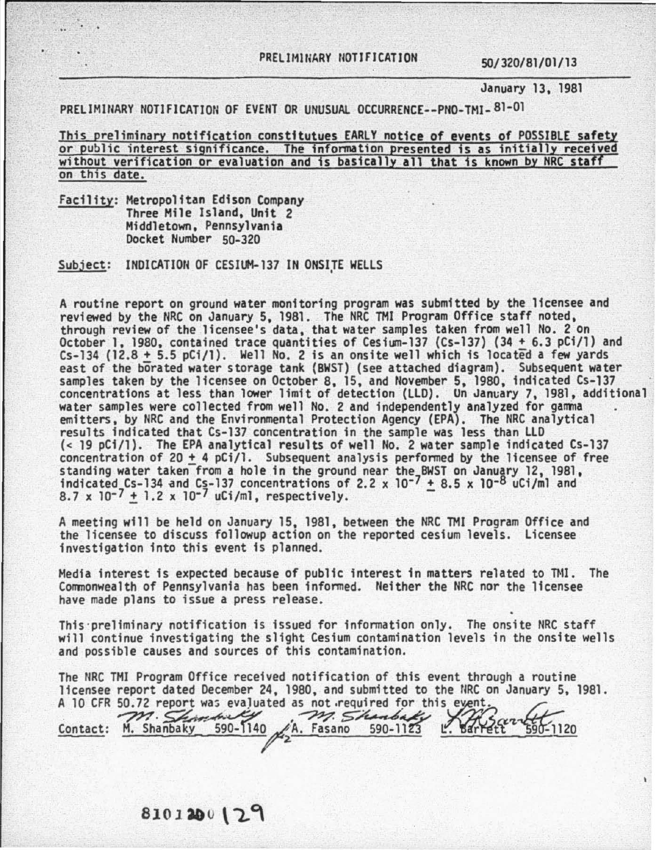## PRELIMINARY NOTIFICATION 50/320/81/01/13

January 13, 1981

PRELIMINARY NOTIFICATION OF EVENT OR UNUSUAL OCCURRENCE--PNO-TMI-81-01

This preliminary notification constitutues EARLY notice of events of POSSIBLE safety or public interest significance. The information presented is as initially received without verification or evaluation and is basically all that is known by NRC staff on this date.

Facility: Metropolitan Edison Company Three Mile Island, Unit 2 Middletown, Pennsylvania Docket Number 50-320

72

Subject: INDICATION OF CESIUM-137 IN ONSITE WELLS

A routine report on ground water monitoring program was submitted by the licensee and reviewed by the NRC on January 5, 1981. The NRC THI Program Office staff noted, through review of the licensee's data, that water samples taken from well No. 2 on October 1, 1980, contained trace quantities of Cesium-137 (Cs-137) (34  $\pm$  6.3 pCi/1) and Cs-134 (12.8 + 5.5 pCi/1). Well No. 2 is an onsite well which is located a few yards east of the borated water storage tank (BWST) (see attached diagram). Subsequent water samples taken by the licensee on October 8, 15, and November 5, 1980, indicated Cs-137 concentrations at less than lower limit of detection (LLD). Un January 7, 1981, additional water samples were collected from well No. 2 and independently analyzed for gamma<br>emitters, by NRC and the Environmental Protection Agency (EPA). The NRC analytical<br>results indicated that Cs-137 concentration in the sample (< 19 pCi/1). The EPA analytical results of well No. 2 water sample indicated Cs-137 concentration of 20  $\pm$  4 pCi/l. Subsequent analysis performed by the licensee of free standing water taken from a hole in the ground near the BWST on January 12, 1981,<br>indicated Cs-134 and Cs-137 concentrations of 2.2 x 10<sup>-7</sup> + 8.5 x 10<sup>-8</sup> uCi/ml and indicated Cs-134 and Cs-137 concentrations of 2.2 x 10<sup>-7</sup>  $\pm$  8.5 x 10<sup>-8</sup> uCi/ml and 8.7 x 10<sup>-7</sup>  $\pm$  1.2 x 10<sup>-7</sup> uCi/ml, respectively.

A meeting will be held on January 15, 1981, between the NRC THI Program Office and the licensee to discuss followup action on the reported cesium levels. licensee investigation into this event fs planned.

Media interest is expected because of public interest in matters related to TMI. The Commonwealth of Pennsylvania has been informed. Neither the NRC nor the licensee have made plans to issue a press release.

This·preliminary notification is issued for information only. The onsite NRC staff will continue investigating the slight Cesium contamination levels in the onsite wells and possible causes and sources of this contamination.

The NRC THJ Program Office received notification of this event through a routine The NRC TMI Program Office received notification of this event through a routine<br>licensee report dated December 24, 1980, and submitted to the NRC on January 5, 1981.<br>A 10 CFR 50.72 report was evaluated as not required for

Contact: M. Shanbaky 590-1140  $\sqrt{A}$ . Fasano 590-1123  $\ldots$  barrett 590-1120 10 CFR 50.72 report was evaluated as not required for this event. 50.72 report was evaluat L. Barrett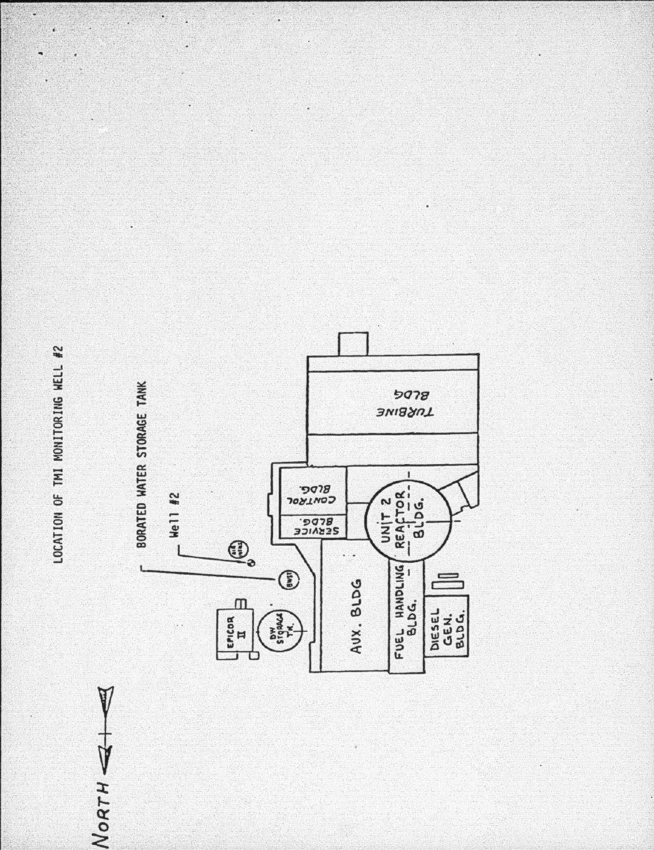LOCATION OF TMI MONITORING WELL #2

NORTH

Ç,

 $\blacksquare$ 

7

ş

ĩ,

J.